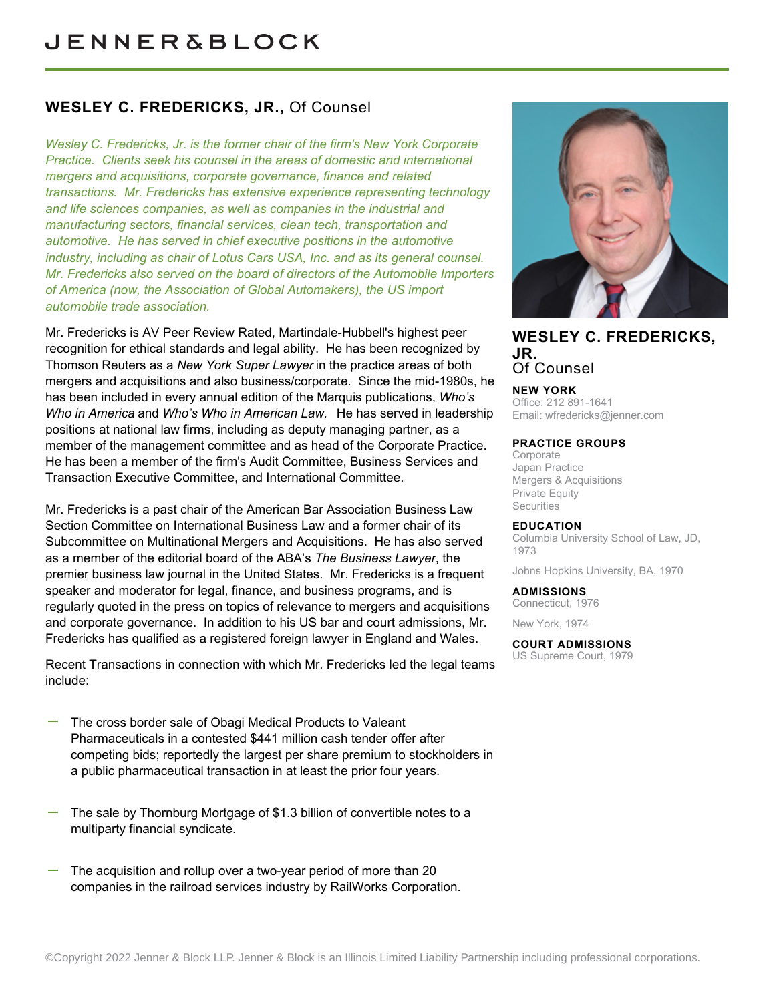## **WESLEY C. FREDERICKS, JR.,** Of Counsel

*Wesley C. Fredericks, Jr. is the former chair of the firm's New York Corporate Practice. Clients seek his counsel in the areas of domestic and international mergers and acquisitions, corporate governance, finance and related transactions. Mr. Fredericks has extensive experience representing technology and life sciences companies, as well as companies in the industrial and manufacturing sectors, financial services, clean tech, transportation and automotive. He has served in chief executive positions in the automotive industry, including as chair of Lotus Cars USA, Inc. and as its general counsel. Mr. Fredericks also served on the board of directors of the Automobile Importers of America (now, the Association of Global Automakers), the US import automobile trade association.*

Mr. Fredericks is AV Peer Review Rated, Martindale-Hubbell's highest peer recognition for ethical standards and legal ability. He has been recognized by Thomson Reuters as a *New York Super Lawyer* in the practice areas of both mergers and acquisitions and also business/corporate. Since the mid-1980s, he has been included in every annual edition of the Marquis publications, *Who's Who in America* and *Who's Who in American Law.* He has served in leadership positions at national law firms, including as deputy managing partner, as a member of the management committee and as head of the Corporate Practice. He has been a member of the firm's Audit Committee, Business Services and Transaction Executive Committee, and International Committee.

Mr. Fredericks is a past chair of the American Bar Association Business Law Section Committee on International Business Law and a former chair of its Subcommittee on Multinational Mergers and Acquisitions. He has also served as a member of the editorial board of the ABA's *The Business Lawyer*, the premier business law journal in the United States. Mr. Fredericks is a frequent speaker and moderator for legal, finance, and business programs, and is regularly quoted in the press on topics of relevance to mergers and acquisitions and corporate governance. In addition to his US bar and court admissions, Mr. Fredericks has qualified as a registered foreign lawyer in England and Wales.

Recent Transactions in connection with which Mr. Fredericks led the legal teams include:

- The cross border sale of Obagi Medical Products to Valeant Pharmaceuticals in a contested \$441 million cash tender offer after competing bids; reportedly the largest per share premium to stockholders in a public pharmaceutical transaction in at least the prior four years.
- The sale by Thornburg Mortgage of \$1.3 billion of convertible notes to a multiparty financial syndicate.
- The acquisition and rollup over a two-year period of more than 20 companies in the railroad services industry by RailWorks Corporation.



## **WESLEY C. FREDERICKS, JR.** Of Counsel

**NEW YORK**

Office: 212 891-1641 Email: [wfredericks@jenner.com](mailto:wfredericks@jenner.com)

#### **PRACTICE GROUPS**

**Corporate** Japan Practice Mergers & Acquisitions Private Equity **Securities** 

#### **EDUCATION**

Columbia University School of Law, JD, 1973

Johns Hopkins University, BA, 1970

#### **ADMISSIONS**

Connecticut, 1976 New York, 1974

**COURT ADMISSIONS**

US Supreme Court, 1979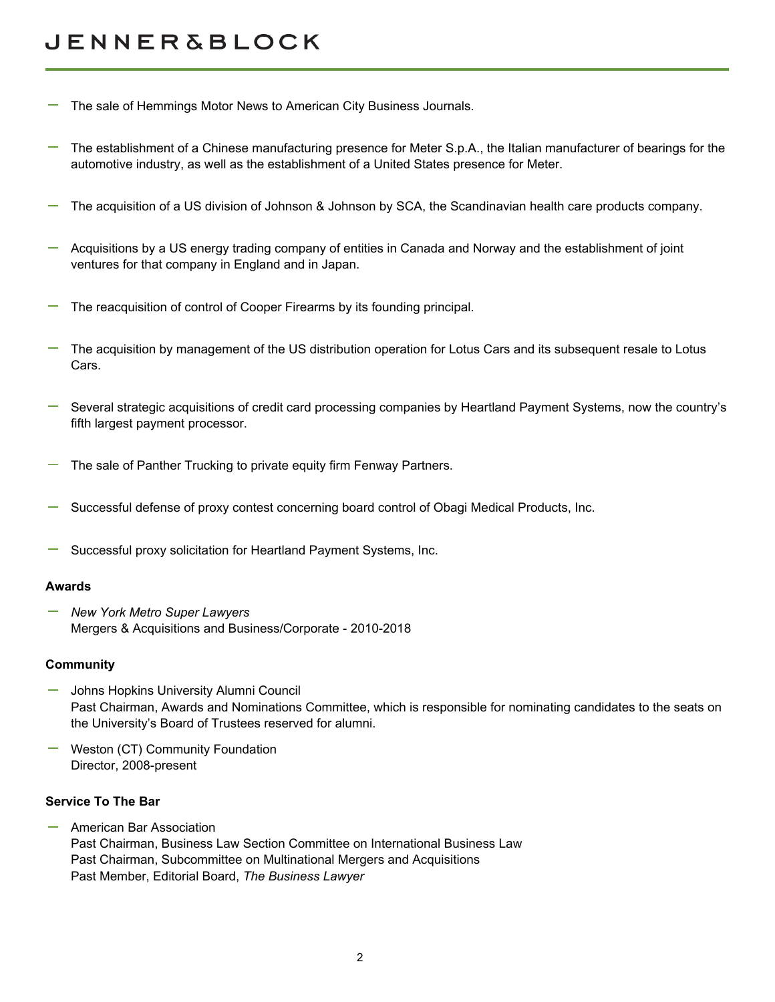# **JENNER&BLOCK**

- The sale of Hemmings Motor News to American City Business Journals.
- The establishment of a Chinese manufacturing presence for Meter S.p.A., the Italian manufacturer of bearings for the automotive industry, as well as the establishment of a United States presence for Meter.
- The acquisition of a US division of Johnson & Johnson by SCA, the Scandinavian health care products company.
- Acquisitions by a US energy trading company of entities in Canada and Norway and the establishment of joint ventures for that company in England and in Japan.
- The reacquisition of control of Cooper Firearms by its founding principal.
- The acquisition by management of the US distribution operation for Lotus Cars and its subsequent resale to Lotus Cars.
- Several strategic acquisitions of credit card processing companies by Heartland Payment Systems, now the country's fifth largest payment processor.
- The sale of Panther Trucking to private equity firm Fenway Partners.
- Successful defense of proxy contest concerning board control of Obagi Medical Products, Inc.
- Successful proxy solicitation for Heartland Payment Systems, Inc.

#### **Awards**

*New York Metro Super Lawyers* Mergers & Acquisitions and Business/Corporate - 2010-2018

#### **Community**

- Johns Hopkins University Alumni Council Past Chairman, Awards and Nominations Committee, which is responsible for nominating candidates to the seats on the University's Board of Trustees reserved for alumni.
- Weston (CT) Community Foundation Director, 2008-present

#### **Service To The Bar**

American Bar Association Past Chairman, Business Law Section Committee on International Business Law Past Chairman, Subcommittee on Multinational Mergers and Acquisitions Past Member, Editorial Board, *The Business Lawyer*